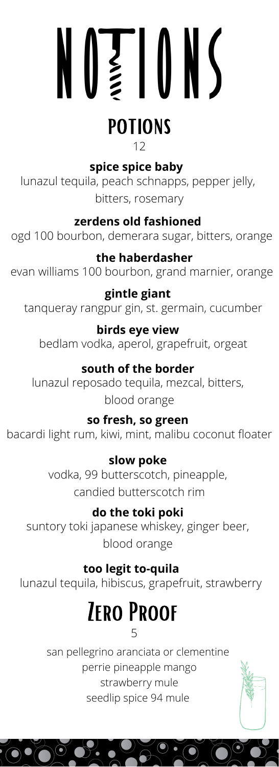# $N\geqslant 10N$

## **POTIONS**

12

**spice spice baby** 

lunazul tequila, peach schnapps, pepper jelly, bitters, rosemary

#### **zerdens old fashioned**

ogd 100 bourbon, demerara sugar, bitters, orange

#### **the haberdasher**

evan williams 100 bourbon, grand marnier, orange

#### **gintle giant**

tanqueray rangpur gin, st. germain, cucumber

#### **birds eye view**

bedlam vodka, aperol, grapefruit, orgeat

#### **south of the border**

lunazul reposado tequila, mezcal, bitters, blood orange

#### **so fresh, so green**

bacardi light rum, kiwi, mint, malibu coconut floater

#### **slow poke**

vodka, 99 butterscotch, pineapple, candied butterscotch rim

#### **do the toki poki**

suntory toki japanese whiskey, ginger beer, blood orange

#### **too legit to-quila**

lunazul tequila, hibiscus, grapefruit, strawberry

# **ZERO PROOF**

5

san pellegrino aranciata or clementine perrie pineapple mango strawberry mule seedlip spice 94 mule